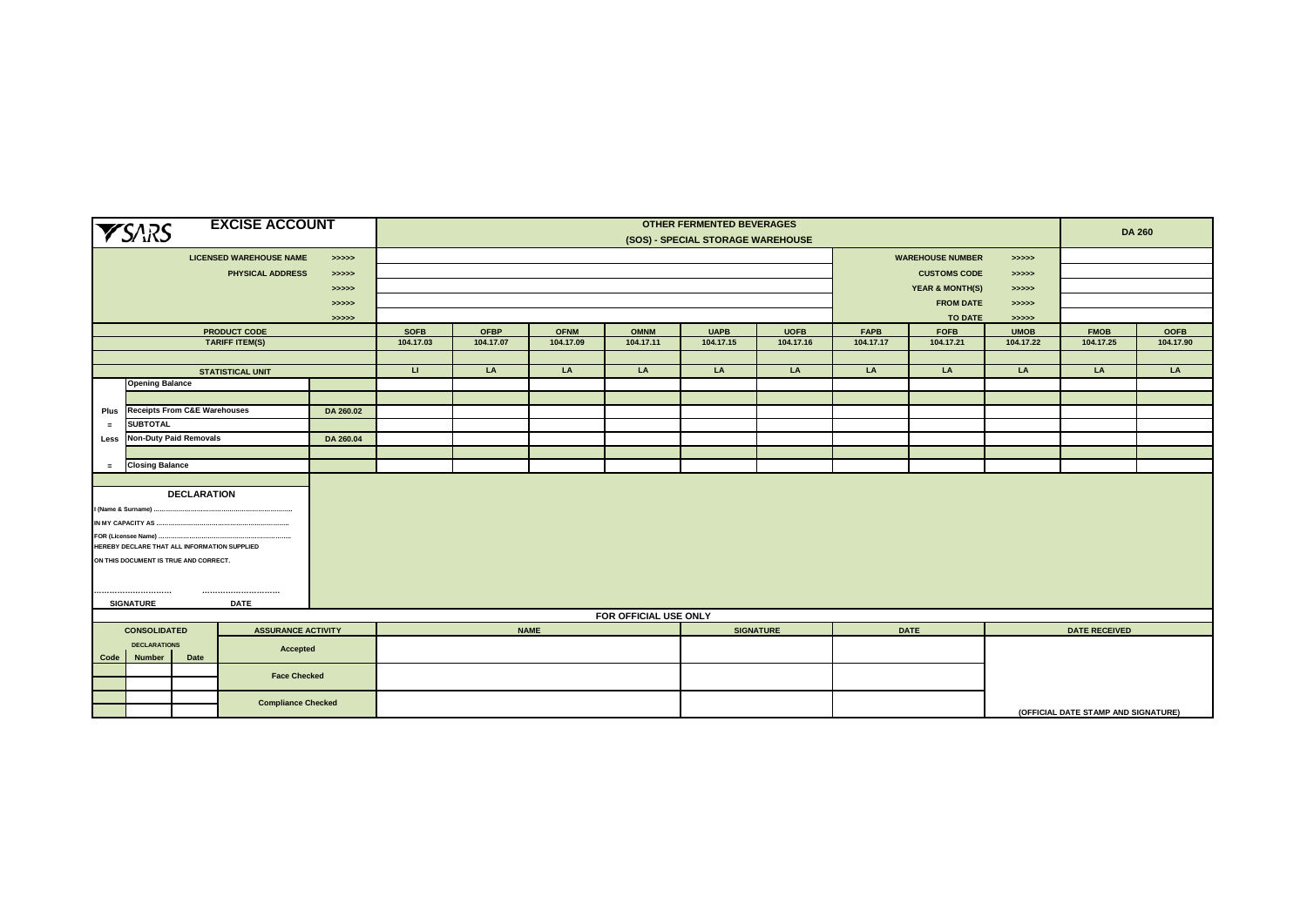| <b>EXCISE ACCOUNT</b><br><b>YSARS</b> |                                                    |                    |                                |            |                       | <b>OTHER FERMENTED BEVERAGES</b><br>(SOS) - SPECIAL STORAGE WAREHOUSE |             |             |             |                  |             |             |             |                                     | <b>DA 260</b> |  |
|---------------------------------------|----------------------------------------------------|--------------------|--------------------------------|------------|-----------------------|-----------------------------------------------------------------------|-------------|-------------|-------------|------------------|-------------|-------------|-------------|-------------------------------------|---------------|--|
|                                       |                                                    |                    | <b>LICENSED WAREHOUSE NAME</b> | > >> > > > |                       | <b>WAREHOUSE NUMBER</b><br>> >> > >                                   |             |             |             |                  |             |             |             |                                     |               |  |
|                                       |                                                    |                    | <b>PHYSICAL ADDRESS</b>        | > >> > >   |                       | <b>CUSTOMS CODE</b>                                                   |             |             |             |                  |             |             |             | > >> > >                            |               |  |
|                                       |                                                    |                    |                                | >>>>>      |                       | <b>YEAR &amp; MONTH(S)</b><br>> >> > >                                |             |             |             |                  |             |             |             |                                     |               |  |
|                                       |                                                    |                    |                                | > >> > >   |                       | <b>FROM DATE</b><br>>>>>>                                             |             |             |             |                  |             |             |             |                                     |               |  |
|                                       |                                                    |                    |                                | > >> > >   |                       |                                                                       |             |             |             |                  |             | TO DATE     | > >> > >    |                                     |               |  |
|                                       |                                                    |                    | PRODUCT CODE                   |            | <b>SOFB</b>           | <b>OFBP</b>                                                           | <b>OFNM</b> | <b>OMNM</b> | <b>UAPB</b> | <b>UOFB</b>      | <b>FAPB</b> | <b>FOFB</b> | <b>UMOB</b> | <b>FMOB</b>                         | <b>OOFB</b>   |  |
|                                       |                                                    |                    | <b>TARIFF ITEM(S)</b>          |            | 104.17.03             | 104.17.07                                                             | 104.17.09   | 104.17.11   | 104.17.15   | 104.17.16        | 104.17.17   | 104.17.21   | 104.17.22   | 104.17.25                           | 104.17.90     |  |
|                                       |                                                    |                    |                                |            |                       |                                                                       |             |             |             |                  |             |             |             |                                     |               |  |
|                                       |                                                    |                    | <b>STATISTICAL UNIT</b>        |            | $\mathbf{U}$          | LA                                                                    | LA          | LA          | LA          | LA               | LA          | LA          | LA          | LA                                  | LA            |  |
|                                       | <b>Opening Balance</b>                             |                    |                                |            |                       |                                                                       |             |             |             |                  |             |             |             |                                     |               |  |
|                                       | <b>Receipts From C&amp;E Warehouses</b>            |                    |                                |            |                       |                                                                       |             |             |             |                  |             |             |             |                                     |               |  |
| Plus                                  | <b>SUBTOTAL</b>                                    |                    |                                | DA 260.02  |                       |                                                                       |             |             |             |                  |             |             |             |                                     |               |  |
| $=$                                   |                                                    |                    |                                |            |                       |                                                                       |             |             |             |                  |             |             |             |                                     |               |  |
|                                       | <b>Non-Duty Paid Removals</b><br>DA 260.04<br>Less |                    |                                |            |                       |                                                                       |             |             |             |                  |             |             |             |                                     |               |  |
| $\equiv$                              | <b>Closing Balance</b>                             |                    |                                |            |                       |                                                                       |             |             |             |                  |             |             |             |                                     |               |  |
|                                       |                                                    |                    |                                |            |                       |                                                                       |             |             |             |                  |             |             |             |                                     |               |  |
|                                       |                                                    | <b>DECLARATION</b> |                                |            |                       |                                                                       |             |             |             |                  |             |             |             |                                     |               |  |
|                                       | I (Name & Surname)                                 |                    |                                |            |                       |                                                                       |             |             |             |                  |             |             |             |                                     |               |  |
|                                       | IN MY CAPACITY AS                                  |                    |                                |            |                       |                                                                       |             |             |             |                  |             |             |             |                                     |               |  |
|                                       | FOR (Licensee Name) .                              |                    |                                |            |                       |                                                                       |             |             |             |                  |             |             |             |                                     |               |  |
|                                       | HEREBY DECLARE THAT ALL INFORMATION SUPPLIED       |                    |                                |            |                       |                                                                       |             |             |             |                  |             |             |             |                                     |               |  |
|                                       | ON THIS DOCUMENT IS TRUE AND CORRECT.              |                    |                                |            |                       |                                                                       |             |             |             |                  |             |             |             |                                     |               |  |
|                                       |                                                    |                    |                                |            |                       |                                                                       |             |             |             |                  |             |             |             |                                     |               |  |
|                                       |                                                    |                    |                                |            |                       |                                                                       |             |             |             |                  |             |             |             |                                     |               |  |
|                                       | <b>SIGNATURE</b>                                   |                    | <b>DATE</b>                    |            |                       |                                                                       |             |             |             |                  |             |             |             |                                     |               |  |
|                                       |                                                    |                    |                                |            | FOR OFFICIAL USE ONLY |                                                                       |             |             |             |                  |             |             |             |                                     |               |  |
|                                       | <b>CONSOLIDATED</b>                                |                    | <b>ASSURANCE ACTIVITY</b>      |            |                       |                                                                       | <b>NAME</b> |             |             | <b>SIGNATURE</b> |             | <b>DATE</b> |             | <b>DATE RECEIVED</b>                |               |  |
|                                       | <b>DECLARATIONS</b>                                |                    | Accepted                       |            |                       |                                                                       |             |             |             |                  |             |             |             |                                     |               |  |
| Code                                  | <b>Number</b>                                      | Date               |                                |            |                       |                                                                       |             |             |             |                  |             |             |             |                                     |               |  |
|                                       |                                                    |                    | <b>Face Checked</b>            |            |                       |                                                                       |             |             |             |                  |             |             |             |                                     |               |  |
|                                       |                                                    |                    |                                |            |                       |                                                                       |             |             |             |                  |             |             |             |                                     |               |  |
|                                       |                                                    |                    | <b>Compliance Checked</b>      |            |                       |                                                                       |             |             |             |                  |             |             |             | (OFFICIAL DATE STAMP AND SIGNATURE) |               |  |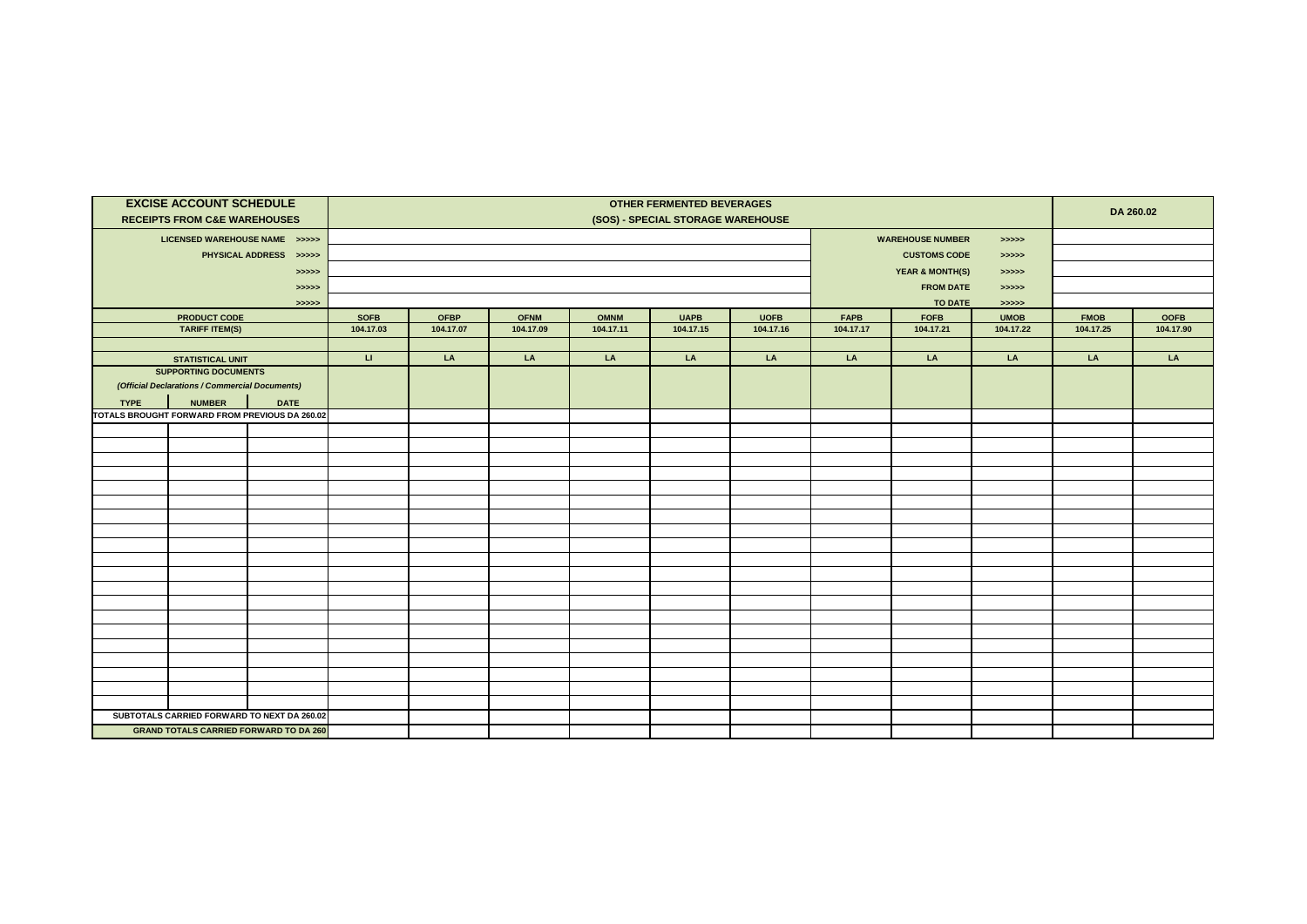|             | <b>EXCISE ACCOUNT SCHEDULE</b><br><b>RECEIPTS FROM C&amp;E WAREHOUSES</b> |                                                | <b>OTHER FERMENTED BEVERAGES</b><br>(SOS) - SPECIAL STORAGE WAREHOUSE |                                       |             |             |             |                     |             |                                                |                        |             | DA 260.02   |  |
|-------------|---------------------------------------------------------------------------|------------------------------------------------|-----------------------------------------------------------------------|---------------------------------------|-------------|-------------|-------------|---------------------|-------------|------------------------------------------------|------------------------|-------------|-------------|--|
|             | LICENSED WAREHOUSE NAME >>>>>                                             |                                                |                                                                       | <b>WAREHOUSE NUMBER</b><br>> >> > > > |             |             |             |                     |             |                                                |                        |             |             |  |
|             |                                                                           | PHYSICAL ADDRESS >>>>>                         |                                                                       |                                       |             |             |             | <b>CUSTOMS CODE</b> |             |                                                |                        |             |             |  |
|             |                                                                           | > >> > > >                                     |                                                                       |                                       |             |             |             |                     |             |                                                | > >> > ><br>> >> > > > |             |             |  |
|             |                                                                           | > >> > > >                                     |                                                                       |                                       |             |             |             |                     |             | <b>YEAR &amp; MONTH(S)</b><br><b>FROM DATE</b> | > >> > >               |             |             |  |
|             |                                                                           | > >> > >                                       |                                                                       |                                       |             |             |             |                     |             | <b>TO DATE</b>                                 | > >> > > >             |             |             |  |
|             | <b>PRODUCT CODE</b>                                                       |                                                | <b>SOFB</b>                                                           | <b>OFBP</b>                           | <b>OFNM</b> | <b>OMNM</b> | <b>UAPB</b> | <b>UOFB</b>         | <b>FAPB</b> | <b>FOFB</b>                                    | <b>UMOB</b>            | <b>FMOB</b> | <b>OOFB</b> |  |
|             | <b>TARIFF ITEM(S)</b>                                                     |                                                | 104.17.03                                                             | 104.17.07                             | 104.17.09   | 104.17.11   | 104.17.15   | 104.17.16           | 104.17.17   | 104.17.21                                      | 104.17.22              | 104.17.25   | 104.17.90   |  |
|             |                                                                           |                                                |                                                                       |                                       |             |             |             |                     |             |                                                |                        |             |             |  |
|             | <b>STATISTICAL UNIT</b>                                                   |                                                | $\sqcup$                                                              | LA                                    | LA          | LA          | LA          | LA                  | LA          | LA                                             | LA                     | LA          | LA          |  |
|             | <b>SUPPORTING DOCUMENTS</b>                                               |                                                |                                                                       |                                       |             |             |             |                     |             |                                                |                        |             |             |  |
|             | (Official Declarations / Commercial Documents)                            |                                                |                                                                       |                                       |             |             |             |                     |             |                                                |                        |             |             |  |
| <b>TYPE</b> | <b>NUMBER</b>                                                             | <b>DATE</b>                                    |                                                                       |                                       |             |             |             |                     |             |                                                |                        |             |             |  |
|             |                                                                           | TOTALS BROUGHT FORWARD FROM PREVIOUS DA 260.02 |                                                                       |                                       |             |             |             |                     |             |                                                |                        |             |             |  |
|             |                                                                           |                                                |                                                                       |                                       |             |             |             |                     |             |                                                |                        |             |             |  |
|             |                                                                           |                                                |                                                                       |                                       |             |             |             |                     |             |                                                |                        |             |             |  |
|             |                                                                           |                                                |                                                                       |                                       |             |             |             |                     |             |                                                |                        |             |             |  |
|             |                                                                           |                                                |                                                                       |                                       |             |             |             |                     |             |                                                |                        |             |             |  |
|             |                                                                           |                                                |                                                                       |                                       |             |             |             |                     |             |                                                |                        |             |             |  |
|             |                                                                           |                                                |                                                                       |                                       |             |             |             |                     |             |                                                |                        |             |             |  |
|             |                                                                           |                                                |                                                                       |                                       |             |             |             |                     |             |                                                |                        |             |             |  |
|             |                                                                           |                                                |                                                                       |                                       |             |             |             |                     |             |                                                |                        |             |             |  |
|             |                                                                           |                                                |                                                                       |                                       |             |             |             |                     |             |                                                |                        |             |             |  |
|             |                                                                           |                                                |                                                                       |                                       |             |             |             |                     |             |                                                |                        |             |             |  |
|             |                                                                           |                                                |                                                                       |                                       |             |             |             |                     |             |                                                |                        |             |             |  |
|             |                                                                           |                                                |                                                                       |                                       |             |             |             |                     |             |                                                |                        |             |             |  |
|             |                                                                           |                                                |                                                                       |                                       |             |             |             |                     |             |                                                |                        |             |             |  |
|             |                                                                           |                                                |                                                                       |                                       |             |             |             |                     |             |                                                |                        |             |             |  |
|             |                                                                           |                                                |                                                                       |                                       |             |             |             |                     |             |                                                |                        |             |             |  |
|             |                                                                           |                                                |                                                                       |                                       |             |             |             |                     |             |                                                |                        |             |             |  |
|             |                                                                           |                                                |                                                                       |                                       |             |             |             |                     |             |                                                |                        |             |             |  |
|             |                                                                           |                                                |                                                                       |                                       |             |             |             |                     |             |                                                |                        |             |             |  |
|             |                                                                           |                                                |                                                                       |                                       |             |             |             |                     |             |                                                |                        |             |             |  |
|             |                                                                           | SUBTOTALS CARRIED FORWARD TO NEXT DA 260.02    |                                                                       |                                       |             |             |             |                     |             |                                                |                        |             |             |  |
|             |                                                                           | <b>GRAND TOTALS CARRIED FORWARD TO DA 260</b>  |                                                                       |                                       |             |             |             |                     |             |                                                |                        |             |             |  |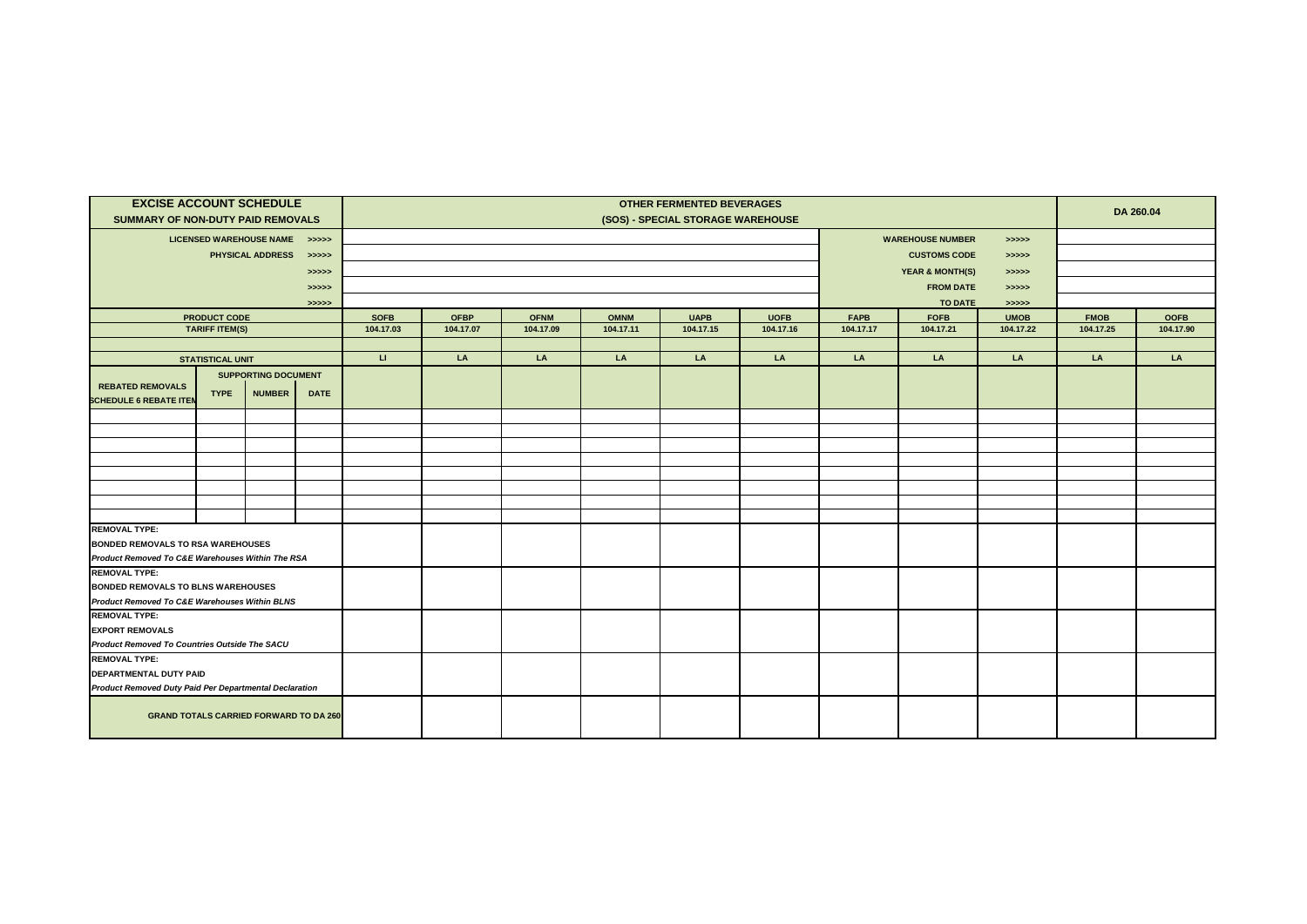| <b>EXCISE ACCOUNT SCHEDULE</b><br>SUMMARY OF NON-DUTY PAID REMOVALS |                                       |                                                   |                     | <b>OTHER FERMENTED BEVERAGES</b><br>(SOS) - SPECIAL STORAGE WAREHOUSE    |                          |                          |                          |                          |                                                |                          |                                            |                                        | DA 260.04                |                          |  |
|---------------------------------------------------------------------|---------------------------------------|---------------------------------------------------|---------------------|--------------------------------------------------------------------------|--------------------------|--------------------------|--------------------------|--------------------------|------------------------------------------------|--------------------------|--------------------------------------------|----------------------------------------|--------------------------|--------------------------|--|
|                                                                     |                                       | LICENSED WAREHOUSE NAME >>>>><br>PHYSICAL ADDRESS | > >> > >            | <b>WAREHOUSE NUMBER</b><br>> >> > ><br><b>CUSTOMS CODE</b><br>> >> > > > |                          |                          |                          |                          |                                                |                          |                                            |                                        |                          |                          |  |
|                                                                     |                                       |                                                   | > >> > > ><br>>>>>> |                                                                          |                          |                          |                          |                          | <b>YEAR &amp; MONTH(S)</b><br><b>FROM DATE</b> |                          |                                            |                                        |                          |                          |  |
|                                                                     | PRODUCT CODE<br><b>TARIFF ITEM(S)</b> |                                                   | >>>>>               | <b>SOFB</b><br>104.17.03                                                 | <b>OFBP</b><br>104.17.07 | <b>OFNM</b><br>104.17.09 | <b>OMNM</b><br>104.17.11 | <b>UAPB</b><br>104.17.15 | <b>UOFB</b><br>104.17.16                       | <b>FAPB</b><br>104.17.17 | <b>TO DATE</b><br><b>FOFB</b><br>104.17.21 | > >> > > ><br><b>UMOB</b><br>104.17.22 | <b>FMOB</b><br>104.17.25 | <b>OOFB</b><br>104.17.90 |  |
|                                                                     | <b>STATISTICAL UNIT</b>               |                                                   |                     | $\sqcup$                                                                 | LA                       | LA                       | LA                       | LA                       | LA                                             | LA                       | LA                                         | LA                                     | LA                       | LA                       |  |
|                                                                     |                                       | <b>SUPPORTING DOCUMENT</b>                        |                     |                                                                          |                          |                          |                          |                          |                                                |                          |                                            |                                        |                          |                          |  |
| <b>REBATED REMOVALS</b><br><b>SCHEDULE 6 REBATE ITEN</b>            | <b>TYPE</b>                           | <b>NUMBER</b>                                     | <b>DATE</b>         |                                                                          |                          |                          |                          |                          |                                                |                          |                                            |                                        |                          |                          |  |
|                                                                     |                                       |                                                   |                     |                                                                          |                          |                          |                          |                          |                                                |                          |                                            |                                        |                          |                          |  |
|                                                                     |                                       |                                                   |                     |                                                                          |                          |                          |                          |                          |                                                |                          |                                            |                                        |                          |                          |  |
|                                                                     |                                       |                                                   |                     |                                                                          |                          |                          |                          |                          |                                                |                          |                                            |                                        |                          |                          |  |
|                                                                     |                                       |                                                   |                     |                                                                          |                          |                          |                          |                          |                                                |                          |                                            |                                        |                          |                          |  |
|                                                                     |                                       |                                                   |                     |                                                                          |                          |                          |                          |                          |                                                |                          |                                            |                                        |                          |                          |  |
|                                                                     |                                       |                                                   |                     |                                                                          |                          |                          |                          |                          |                                                |                          |                                            |                                        |                          |                          |  |
| <b>REMOVAL TYPE:</b>                                                |                                       |                                                   |                     |                                                                          |                          |                          |                          |                          |                                                |                          |                                            |                                        |                          |                          |  |
| <b>BONDED REMOVALS TO RSA WAREHOUSES</b>                            |                                       |                                                   |                     |                                                                          |                          |                          |                          |                          |                                                |                          |                                            |                                        |                          |                          |  |
| Product Removed To C&E Warehouses Within The RSA                    |                                       |                                                   |                     |                                                                          |                          |                          |                          |                          |                                                |                          |                                            |                                        |                          |                          |  |
| <b>REMOVAL TYPE:</b><br><b>BONDED REMOVALS TO BLNS WAREHOUSES</b>   |                                       |                                                   |                     |                                                                          |                          |                          |                          |                          |                                                |                          |                                            |                                        |                          |                          |  |
| Product Removed To C&E Warehouses Within BLNS                       |                                       |                                                   |                     |                                                                          |                          |                          |                          |                          |                                                |                          |                                            |                                        |                          |                          |  |
| <b>REMOVAL TYPE:</b>                                                |                                       |                                                   |                     |                                                                          |                          |                          |                          |                          |                                                |                          |                                            |                                        |                          |                          |  |
| <b>EXPORT REMOVALS</b>                                              |                                       |                                                   |                     |                                                                          |                          |                          |                          |                          |                                                |                          |                                            |                                        |                          |                          |  |
| Product Removed To Countries Outside The SACU                       |                                       |                                                   |                     |                                                                          |                          |                          |                          |                          |                                                |                          |                                            |                                        |                          |                          |  |
| <b>REMOVAL TYPE:</b>                                                |                                       |                                                   |                     |                                                                          |                          |                          |                          |                          |                                                |                          |                                            |                                        |                          |                          |  |
| DEPARTMENTAL DUTY PAID                                              |                                       |                                                   |                     |                                                                          |                          |                          |                          |                          |                                                |                          |                                            |                                        |                          |                          |  |
| <b>Product Removed Duty Paid Per Departmental Declaration</b>       |                                       |                                                   |                     |                                                                          |                          |                          |                          |                          |                                                |                          |                                            |                                        |                          |                          |  |
|                                                                     |                                       | <b>GRAND TOTALS CARRIED FORWARD TO DA 260</b>     |                     |                                                                          |                          |                          |                          |                          |                                                |                          |                                            |                                        |                          |                          |  |